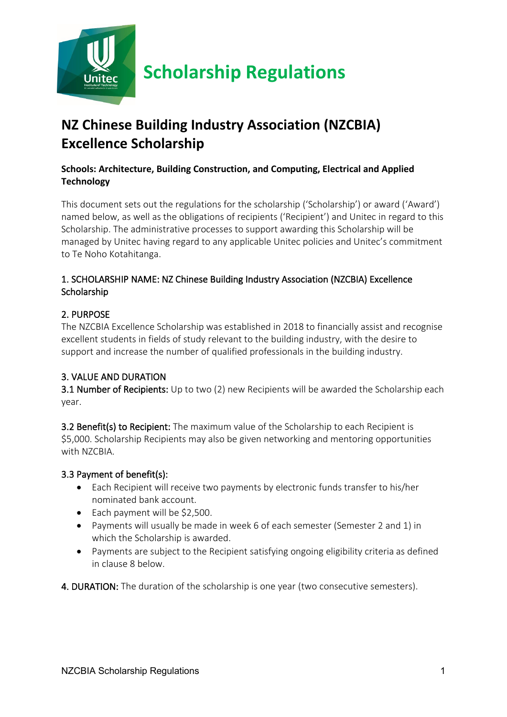

# **NZ Chinese Building Industry Association (NZCBIA) Excellence Scholarship**

# **Schools: Architecture, Building Construction, and Computing, Electrical and Applied Technology**

This document sets out the regulations for the scholarship ('Scholarship') or award ('Award') named below, as well as the obligations of recipients ('Recipient') and Unitec in regard to this Scholarship. The administrative processes to support awarding this Scholarship will be managed by Unitec having regard to any applicable Unitec policies and Unitec's commitment to Te Noho Kotahitanga.

# 1. SCHOLARSHIP NAME: NZ Chinese Building Industry Association (NZCBIA) Excellence **Scholarship**

#### 2. PURPOSE

The NZCBIA Excellence Scholarship was established in 2018 to financially assist and recognise excellent students in fields of study relevant to the building industry, with the desire to support and increase the number of qualified professionals in the building industry.

# 3. VALUE AND DURATION

3.1 Number of Recipients: Up to two (2) new Recipients will be awarded the Scholarship each year.

3.2 Benefit(s) to Recipient: The maximum value of the Scholarship to each Recipient is \$5,000. Scholarship Recipients may also be given networking and mentoring opportunities with NZCBIA.

#### 3.3 Payment of benefit(s):

- Each Recipient will receive two payments by electronic funds transfer to his/her nominated bank account.
- Each payment will be \$2,500.
- Payments will usually be made in week 6 of each semester (Semester 2 and 1) in which the Scholarship is awarded.
- Payments are subject to the Recipient satisfying ongoing eligibility criteria as defined in clause 8 below.

4. DURATION: The duration of the scholarship is one year (two consecutive semesters).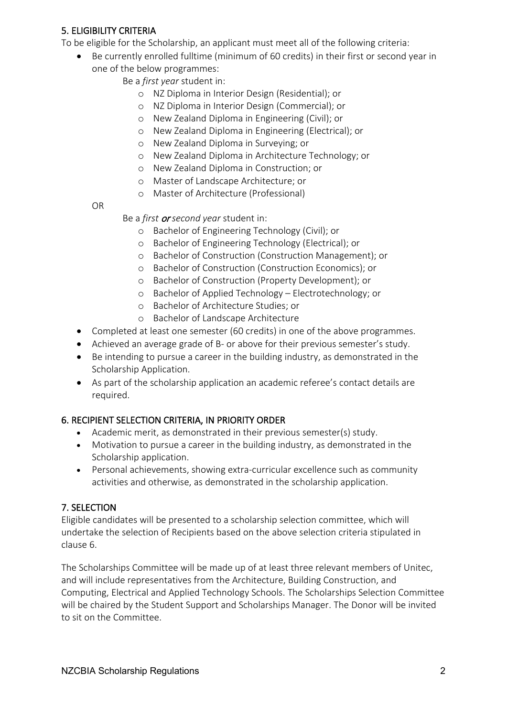# 5. ELIGIBILITY CRITERIA

To be eligible for the Scholarship, an applicant must meet all of the following criteria:

- Be currently enrolled fulltime (minimum of 60 credits) in their first or second year in
	- one of the below programmes:
		- Be a *first year* student in:
			- o NZ Diploma in Interior Design (Residential); or
			- o NZ Diploma in Interior Design (Commercial); or
			- o New Zealand Diploma in Engineering (Civil); or
			- o New Zealand Diploma in Engineering (Electrical); or
			- o New Zealand Diploma in Surveying; or
			- o New Zealand Diploma in Architecture Technology; or
			- o New Zealand Diploma in Construction; or
			- o Master of Landscape Architecture; or
			- o Master of Architecture (Professional)

OR

- Be a *first* or *second year* student in:
	- o Bachelor of Engineering Technology (Civil); or
	- o Bachelor of Engineering Technology (Electrical); or
	- o Bachelor of Construction (Construction Management); or
	- o Bachelor of Construction (Construction Economics); or
	- o Bachelor of Construction (Property Development); or
	- o Bachelor of Applied Technology Electrotechnology; or
	- o Bachelor of Architecture Studies; or
	- o Bachelor of Landscape Architecture
- Completed at least one semester (60 credits) in one of the above programmes.
- Achieved an average grade of B- or above for their previous semester's study.
- Be intending to pursue a career in the building industry, as demonstrated in the Scholarship Application.
- As part of the scholarship application an academic referee's contact details are required.

# 6. RECIPIENT SELECTION CRITERIA, IN PRIORITY ORDER

- Academic merit, as demonstrated in their previous semester(s) study.
- Motivation to pursue a career in the building industry, as demonstrated in the Scholarship application.
- Personal achievements, showing extra-curricular excellence such as community activities and otherwise, as demonstrated in the scholarship application.

# 7. SELECTION

Eligible candidates will be presented to a scholarship selection committee, which will undertake the selection of Recipients based on the above selection criteria stipulated in clause 6.

The Scholarships Committee will be made up of at least three relevant members of Unitec, and will include representatives from the Architecture, Building Construction, and Computing, Electrical and Applied Technology Schools. The Scholarships Selection Committee will be chaired by the Student Support and Scholarships Manager. The Donor will be invited to sit on the Committee.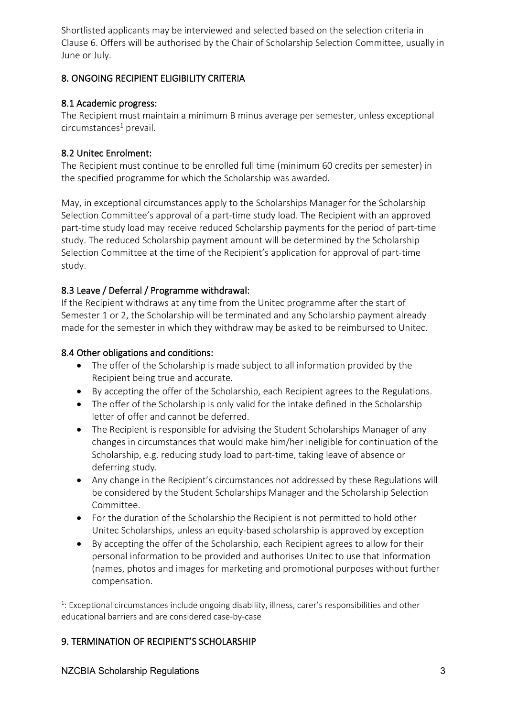Shortlisted applicants may be interviewed and selected based on the selection criteria in Clause 6. Offers will be authorised by the Chair of Scholarship Selection Committee, usually in June or July.

#### 8. ONGOING RECIPIENT ELIGIBILITY CRITERIA

#### 8.1 Academic progress:

The Recipient must maintain a minimum B minus average per semester, unless exceptional  $circumstance<sup>1</sup>$  prevail.

#### 8.2 Unitec Enrolment:

The Recipient must continue to be enrolled full time (minimum 60 credits per semester) in the specified programme for which the Scholarship was awarded.

May, in exceptional circumstances apply to the Scholarships Manager for the Scholarship Selection Committee's approval of a part-time study load. The Recipient with an approved part-time study load may receive reduced Scholarship payments for the period of part-time study. The reduced Scholarship payment amount will be determined by the Scholarship Selection Committee at the time of the Recipient's application for approval of part-time study.

# 8.3 Leave / Deferral / Programme withdrawal:

If the Recipient withdraws at any time from the Unitec programme after the start of Semester 1 or 2, the Scholarship will be terminated and any Scholarship payment already made for the semester in which they withdraw may be asked to be reimbursed to Unitec.

#### 8.4 Other obligations and conditions:

- The offer of the Scholarship is made subject to all information provided by the Recipient being true and accurate.
- By accepting the offer of the Scholarship, each Recipient agrees to the Regulations.
- The offer of the Scholarship is only valid for the intake defined in the Scholarship letter of offer and cannot be deferred.
- The Recipient is responsible for advising the Student Scholarships Manager of any changes in circumstances that would make him/her ineligible for continuation of the Scholarship, e.g. reducing study load to part-time, taking leave of absence or deferring study.
- Any change in the Recipient's circumstances not addressed by these Regulations will be considered by the Student Scholarships Manager and the Scholarship Selection Committee.
- For the duration of the Scholarship the Recipient is not permitted to hold other Unitec Scholarships, unless an equity-based scholarship is approved by exception
- By accepting the offer of the Scholarship, each Recipient agrees to allow for their personal information to be provided and authorises Unitec to use that information (names, photos and images for marketing and promotional purposes without further compensation.

<sup>1</sup>: Exceptional circumstances include ongoing disability, illness, carer's responsibilities and other educational barriers and are considered case-by-case

# 9. TERMINATION OF RECIPIENT'S SCHOLARSHIP